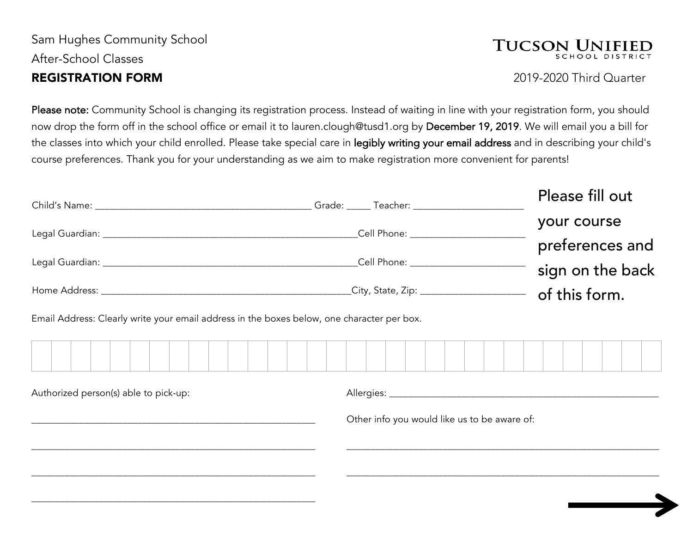### Sam Hughes Community School After-School Classes REGISTRATION FORM 2019-2020 Third Quarter

## **TUCSON UNIF**

Please note: Community School is changing its registration process. Instead of waiting in line with your registration form, you should now drop the form off in the school office or email it to lauren.clough@tusd1.org by December 19, 2019. We will email you a bill for the classes into which your child enrolled. Please take special care in legibly writing your email address and in describing your child's course preferences. Thank you for your understanding as we aim to make registration more convenient for parents!

|                                                                                                                                       | Grade: Teacher: Teacher                                                                                         | Please fill out                |
|---------------------------------------------------------------------------------------------------------------------------------------|-----------------------------------------------------------------------------------------------------------------|--------------------------------|
|                                                                                                                                       | Cell Phone: The Contract of the Contract of the Contract of the Contract of the Contract of the Contract of the | your course<br>preferences and |
|                                                                                                                                       | Cell Phone: ___________________                                                                                 | sign on the back               |
| Home Address:<br><u> 1989 - Jan Stein Stein Stein Stein Stein Stein Stein Stein Stein Stein Stein Stein Stein Stein Stein Stein S</u> | _City, State, Zip: _______________________                                                                      | of this form.                  |

Email Address: Clearly write your email address in the boxes below, one character per box.

\_\_\_\_\_\_\_\_\_\_\_\_\_\_\_\_\_\_\_\_\_\_\_\_\_\_\_\_\_\_\_\_\_\_\_\_\_\_\_\_\_\_\_\_\_\_\_\_\_\_\_\_\_\_\_\_\_\_\_

|  |  |  |  | the control of the control of the control of |  | the control of the control of the con- |  |  |  |  | the control of the control of the |  |  |  |  |  |
|--|--|--|--|----------------------------------------------|--|----------------------------------------|--|--|--|--|-----------------------------------|--|--|--|--|--|
|  |  |  |  |                                              |  |                                        |  |  |  |  |                                   |  |  |  |  |  |
|  |  |  |  |                                              |  |                                        |  |  |  |  |                                   |  |  |  |  |  |
|  |  |  |  |                                              |  |                                        |  |  |  |  |                                   |  |  |  |  |  |
|  |  |  |  |                                              |  |                                        |  |  |  |  |                                   |  |  |  |  |  |
|  |  |  |  |                                              |  |                                        |  |  |  |  |                                   |  |  |  |  |  |
|  |  |  |  |                                              |  |                                        |  |  |  |  |                                   |  |  |  |  |  |
|  |  |  |  |                                              |  |                                        |  |  |  |  |                                   |  |  |  |  |  |
|  |  |  |  |                                              |  |                                        |  |  |  |  |                                   |  |  |  |  |  |
|  |  |  |  |                                              |  |                                        |  |  |  |  |                                   |  |  |  |  |  |
|  |  |  |  |                                              |  |                                        |  |  |  |  |                                   |  |  |  |  |  |
|  |  |  |  |                                              |  |                                        |  |  |  |  |                                   |  |  |  |  |  |
|  |  |  |  |                                              |  |                                        |  |  |  |  |                                   |  |  |  |  |  |

Authorized person(s) able to pick-up: Allergies: \_\_\_\_\_\_\_\_\_\_\_\_\_\_\_\_\_\_\_\_\_\_\_\_\_\_\_\_\_\_\_\_\_\_\_\_\_\_\_\_\_\_\_\_\_\_\_\_\_\_\_\_\_\_\_\_ Other info you would like us to be aware of: \_\_\_\_\_\_\_\_\_\_\_\_\_\_\_\_\_\_\_\_\_\_\_\_\_\_\_\_\_\_\_\_\_\_\_\_\_\_\_\_\_\_\_\_\_\_\_\_\_\_\_\_\_\_\_\_\_\_\_ \_\_\_\_\_\_\_\_\_\_\_\_\_\_\_\_\_\_\_\_\_\_\_\_\_\_\_\_\_\_\_\_\_\_\_\_\_\_\_\_\_\_\_\_\_\_\_\_\_\_\_\_\_\_\_\_\_\_\_\_\_\_\_\_\_ \_\_\_\_\_\_\_\_\_\_\_\_\_\_\_\_\_\_\_\_\_\_\_\_\_\_\_\_\_\_\_\_\_\_\_\_\_\_\_\_\_\_\_\_\_\_\_\_\_\_\_\_\_\_\_\_\_\_\_ \_\_\_\_\_\_\_\_\_\_\_\_\_\_\_\_\_\_\_\_\_\_\_\_\_\_\_\_\_\_\_\_\_\_\_\_\_\_\_\_\_\_\_\_\_\_\_\_\_\_\_\_\_\_\_\_\_\_\_\_\_\_\_\_\_